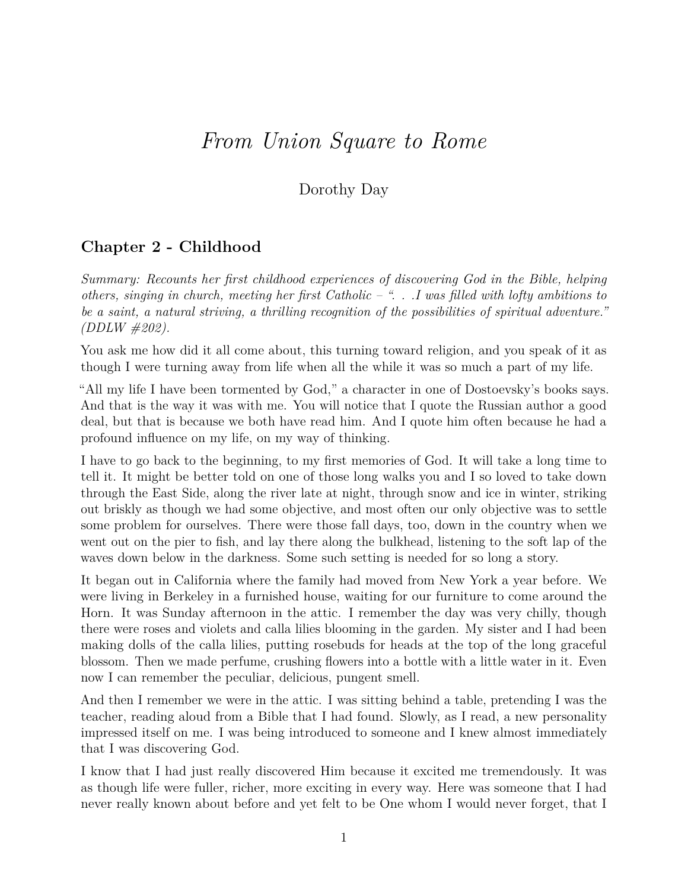## *From Union Square to Rome*

## Dorothy Day

## **Chapter 2 - Childhood**

*Summary: Recounts her first childhood experiences of discovering God in the Bible, helping others, singing in church, meeting her first Catholic – ". . .I was filled with lofty ambitions to be a saint, a natural striving, a thrilling recognition of the possibilities of spiritual adventure." (DDLW #202).*

You ask me how did it all come about, this turning toward religion, and you speak of it as though I were turning away from life when all the while it was so much a part of my life.

"All my life I have been tormented by God," a character in one of Dostoevsky's books says. And that is the way it was with me. You will notice that I quote the Russian author a good deal, but that is because we both have read him. And I quote him often because he had a profound influence on my life, on my way of thinking.

I have to go back to the beginning, to my first memories of God. It will take a long time to tell it. It might be better told on one of those long walks you and I so loved to take down through the East Side, along the river late at night, through snow and ice in winter, striking out briskly as though we had some objective, and most often our only objective was to settle some problem for ourselves. There were those fall days, too, down in the country when we went out on the pier to fish, and lay there along the bulkhead, listening to the soft lap of the waves down below in the darkness. Some such setting is needed for so long a story.

It began out in California where the family had moved from New York a year before. We were living in Berkeley in a furnished house, waiting for our furniture to come around the Horn. It was Sunday afternoon in the attic. I remember the day was very chilly, though there were roses and violets and calla lilies blooming in the garden. My sister and I had been making dolls of the calla lilies, putting rosebuds for heads at the top of the long graceful blossom. Then we made perfume, crushing flowers into a bottle with a little water in it. Even now I can remember the peculiar, delicious, pungent smell.

And then I remember we were in the attic. I was sitting behind a table, pretending I was the teacher, reading aloud from a Bible that I had found. Slowly, as I read, a new personality impressed itself on me. I was being introduced to someone and I knew almost immediately that I was discovering God.

I know that I had just really discovered Him because it excited me tremendously. It was as though life were fuller, richer, more exciting in every way. Here was someone that I had never really known about before and yet felt to be One whom I would never forget, that I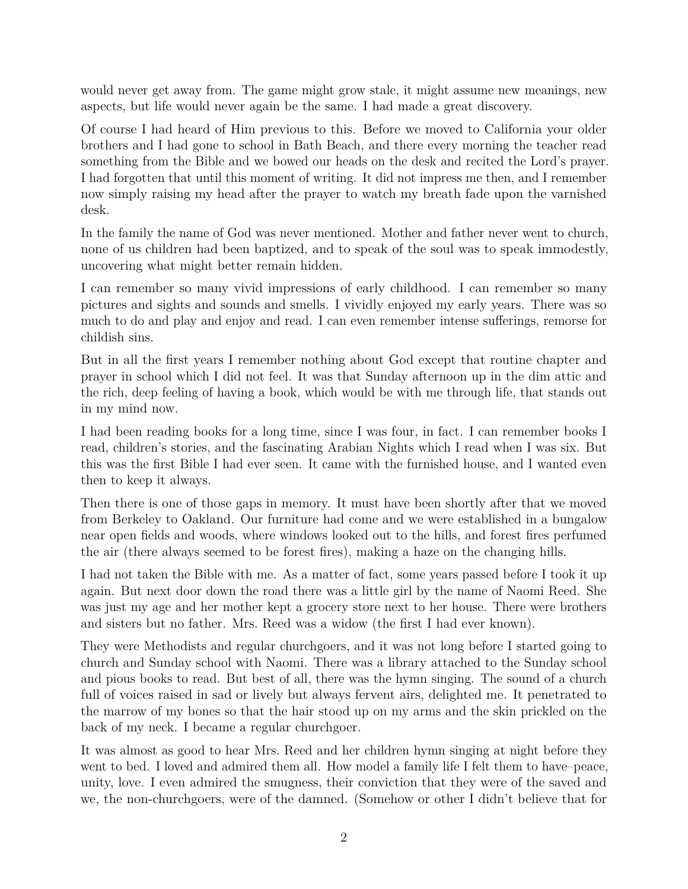would never get away from. The game might grow stale, it might assume new meanings, new aspects, but life would never again be the same. I had made a great discovery.

Of course I had heard of Him previous to this. Before we moved to California your older brothers and I had gone to school in Bath Beach, and there every morning the teacher read something from the Bible and we bowed our heads on the desk and recited the Lord's prayer. I had forgotten that until this moment of writing. It did not impress me then, and I remember now simply raising my head after the prayer to watch my breath fade upon the varnished desk.

In the family the name of God was never mentioned. Mother and father never went to church, none of us children had been baptized, and to speak of the soul was to speak immodestly, uncovering what might better remain hidden.

I can remember so many vivid impressions of early childhood. I can remember so many pictures and sights and sounds and smells. I vividly enjoyed my early years. There was so much to do and play and enjoy and read. I can even remember intense sufferings, remorse for childish sins.

But in all the first years I remember nothing about God except that routine chapter and prayer in school which I did not feel. It was that Sunday afternoon up in the dim attic and the rich, deep feeling of having a book, which would be with me through life, that stands out in my mind now.

I had been reading books for a long time, since I was four, in fact. I can remember books I read, children's stories, and the fascinating Arabian Nights which I read when I was six. But this was the first Bible I had ever seen. It came with the furnished house, and I wanted even then to keep it always.

Then there is one of those gaps in memory. It must have been shortly after that we moved from Berkeley to Oakland. Our furniture had come and we were established in a bungalow near open fields and woods, where windows looked out to the hills, and forest fires perfumed the air (there always seemed to be forest fires), making a haze on the changing hills.

I had not taken the Bible with me. As a matter of fact, some years passed before I took it up again. But next door down the road there was a little girl by the name of Naomi Reed. She was just my age and her mother kept a grocery store next to her house. There were brothers and sisters but no father. Mrs. Reed was a widow (the first I had ever known).

They were Methodists and regular churchgoers, and it was not long before I started going to church and Sunday school with Naomi. There was a library attached to the Sunday school and pious books to read. But best of all, there was the hymn singing. The sound of a church full of voices raised in sad or lively but always fervent airs, delighted me. It penetrated to the marrow of my bones so that the hair stood up on my arms and the skin prickled on the back of my neck. I became a regular churchgoer.

It was almost as good to hear Mrs. Reed and her children hymn singing at night before they went to bed. I loved and admired them all. How model a family life I felt them to have–peace, unity, love. I even admired the smugness, their conviction that they were of the saved and we, the non-churchgoers, were of the damned. (Somehow or other I didn't believe that for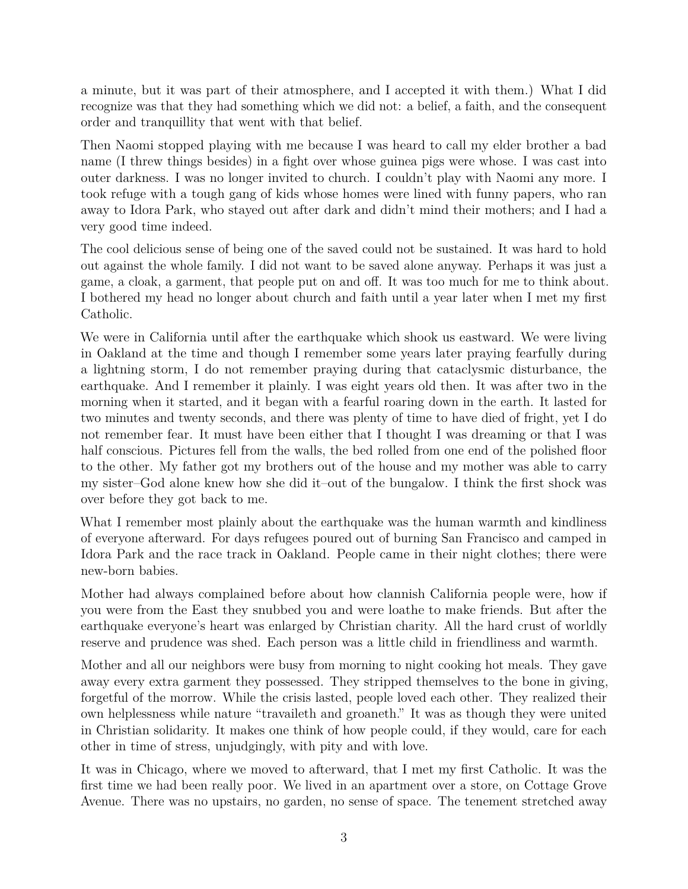a minute, but it was part of their atmosphere, and I accepted it with them.) What I did recognize was that they had something which we did not: a belief, a faith, and the consequent order and tranquillity that went with that belief.

Then Naomi stopped playing with me because I was heard to call my elder brother a bad name (I threw things besides) in a fight over whose guinea pigs were whose. I was cast into outer darkness. I was no longer invited to church. I couldn't play with Naomi any more. I took refuge with a tough gang of kids whose homes were lined with funny papers, who ran away to Idora Park, who stayed out after dark and didn't mind their mothers; and I had a very good time indeed.

The cool delicious sense of being one of the saved could not be sustained. It was hard to hold out against the whole family. I did not want to be saved alone anyway. Perhaps it was just a game, a cloak, a garment, that people put on and off. It was too much for me to think about. I bothered my head no longer about church and faith until a year later when I met my first Catholic.

We were in California until after the earthquake which shook us eastward. We were living in Oakland at the time and though I remember some years later praying fearfully during a lightning storm, I do not remember praying during that cataclysmic disturbance, the earthquake. And I remember it plainly. I was eight years old then. It was after two in the morning when it started, and it began with a fearful roaring down in the earth. It lasted for two minutes and twenty seconds, and there was plenty of time to have died of fright, yet I do not remember fear. It must have been either that I thought I was dreaming or that I was half conscious. Pictures fell from the walls, the bed rolled from one end of the polished floor to the other. My father got my brothers out of the house and my mother was able to carry my sister–God alone knew how she did it–out of the bungalow. I think the first shock was over before they got back to me.

What I remember most plainly about the earthquake was the human warmth and kindliness of everyone afterward. For days refugees poured out of burning San Francisco and camped in Idora Park and the race track in Oakland. People came in their night clothes; there were new-born babies.

Mother had always complained before about how clannish California people were, how if you were from the East they snubbed you and were loathe to make friends. But after the earthquake everyone's heart was enlarged by Christian charity. All the hard crust of worldly reserve and prudence was shed. Each person was a little child in friendliness and warmth.

Mother and all our neighbors were busy from morning to night cooking hot meals. They gave away every extra garment they possessed. They stripped themselves to the bone in giving, forgetful of the morrow. While the crisis lasted, people loved each other. They realized their own helplessness while nature "travaileth and groaneth." It was as though they were united in Christian solidarity. It makes one think of how people could, if they would, care for each other in time of stress, unjudgingly, with pity and with love.

It was in Chicago, where we moved to afterward, that I met my first Catholic. It was the first time we had been really poor. We lived in an apartment over a store, on Cottage Grove Avenue. There was no upstairs, no garden, no sense of space. The tenement stretched away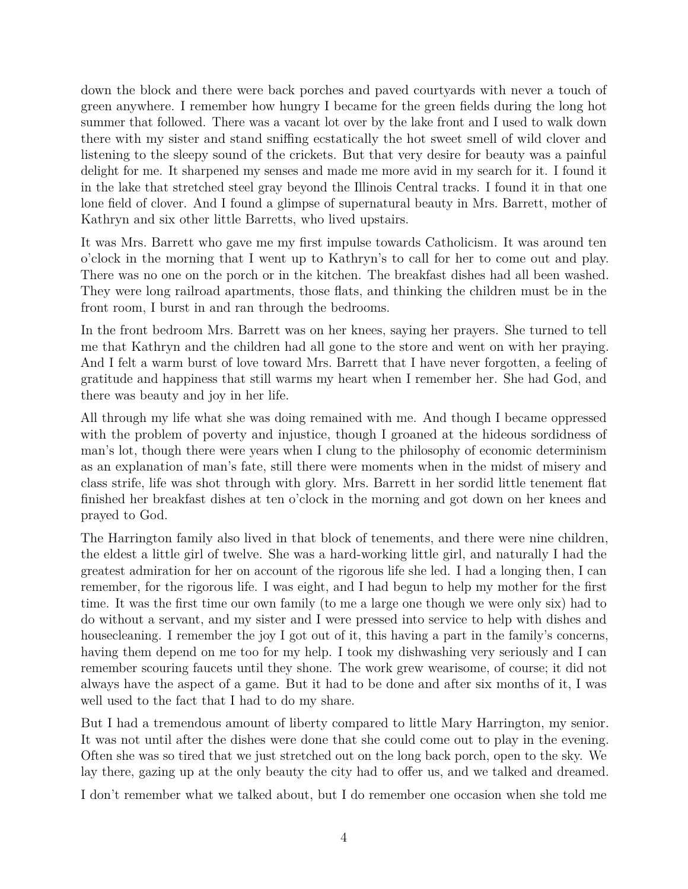down the block and there were back porches and paved courtyards with never a touch of green anywhere. I remember how hungry I became for the green fields during the long hot summer that followed. There was a vacant lot over by the lake front and I used to walk down there with my sister and stand sniffing ecstatically the hot sweet smell of wild clover and listening to the sleepy sound of the crickets. But that very desire for beauty was a painful delight for me. It sharpened my senses and made me more avid in my search for it. I found it in the lake that stretched steel gray beyond the Illinois Central tracks. I found it in that one lone field of clover. And I found a glimpse of supernatural beauty in Mrs. Barrett, mother of Kathryn and six other little Barretts, who lived upstairs.

It was Mrs. Barrett who gave me my first impulse towards Catholicism. It was around ten o'clock in the morning that I went up to Kathryn's to call for her to come out and play. There was no one on the porch or in the kitchen. The breakfast dishes had all been washed. They were long railroad apartments, those flats, and thinking the children must be in the front room, I burst in and ran through the bedrooms.

In the front bedroom Mrs. Barrett was on her knees, saying her prayers. She turned to tell me that Kathryn and the children had all gone to the store and went on with her praying. And I felt a warm burst of love toward Mrs. Barrett that I have never forgotten, a feeling of gratitude and happiness that still warms my heart when I remember her. She had God, and there was beauty and joy in her life.

All through my life what she was doing remained with me. And though I became oppressed with the problem of poverty and injustice, though I groaned at the hideous sordidness of man's lot, though there were years when I clung to the philosophy of economic determinism as an explanation of man's fate, still there were moments when in the midst of misery and class strife, life was shot through with glory. Mrs. Barrett in her sordid little tenement flat finished her breakfast dishes at ten o'clock in the morning and got down on her knees and prayed to God.

The Harrington family also lived in that block of tenements, and there were nine children, the eldest a little girl of twelve. She was a hard-working little girl, and naturally I had the greatest admiration for her on account of the rigorous life she led. I had a longing then, I can remember, for the rigorous life. I was eight, and I had begun to help my mother for the first time. It was the first time our own family (to me a large one though we were only six) had to do without a servant, and my sister and I were pressed into service to help with dishes and house cleaning. I remember the joy I got out of it, this having a part in the family's concerns, having them depend on me too for my help. I took my dishwashing very seriously and I can remember scouring faucets until they shone. The work grew wearisome, of course; it did not always have the aspect of a game. But it had to be done and after six months of it, I was well used to the fact that I had to do my share.

But I had a tremendous amount of liberty compared to little Mary Harrington, my senior. It was not until after the dishes were done that she could come out to play in the evening. Often she was so tired that we just stretched out on the long back porch, open to the sky. We lay there, gazing up at the only beauty the city had to offer us, and we talked and dreamed.

I don't remember what we talked about, but I do remember one occasion when she told me